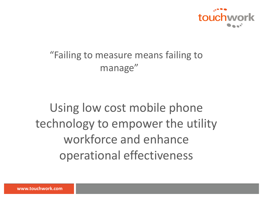

#### "Failing to measure means failing to manage"

## Using low cost mobile phone technology to empower the utility workforce and enhance operational effectiveness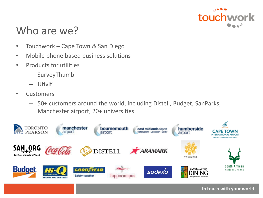

#### Who are we?

- Touchwork Cape Town & San Diego
- Mobile phone based business solutions
- Products for utilities
	- SurveyThumb
	- Utiviti
- Customers
	- 50+ customers around the world, including Distell, Budget, SanParks, Manchester airport, 20+ universities

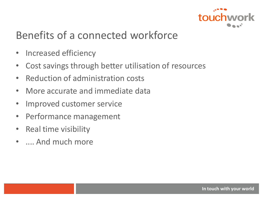

#### Benefits of a connected workforce

- Increased efficiency
- Cost savings through better utilisation of resources
- Reduction of administration costs
- More accurate and immediate data
- Improved customer service
- Performance management
- Real time visibility
- .... And much more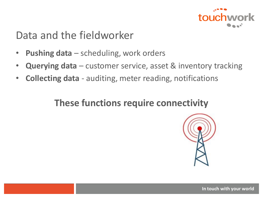

#### Data and the fieldworker

- **Pushing data**  scheduling, work orders
- **Querying data**  customer service, asset & inventory tracking
- **Collecting data**  auditing, meter reading, notifications

#### **These functions require connectivity**

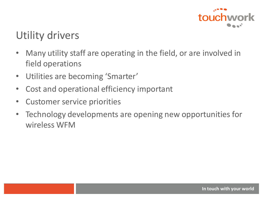

### Utility drivers

- Many utility staff are operating in the field, or are involved in field operations
- Utilities are becoming 'Smarter'
- Cost and operational efficiency important
- Customer service priorities
- Technology developments are opening new opportunities for wireless WFM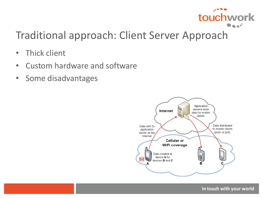

#### Traditional approach: Client Server Approach

- Thick client
- Custom hardware and software
- Some disadvantages

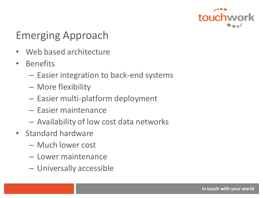

### Emerging Approach

- Web based architecture
- Benefits
	- Easier integration to back-end systems
	- More flexibility
	- Easier multi-platform deployment
	- Easier maintenance
	- Availability of low cost data networks
- Standard hardware
	- Much lower cost
	- Lower maintenance
	- Universally accessible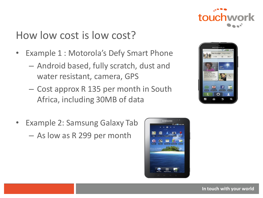

#### How low cost is low cost?

- Example 1 : Motorola's Defy Smart Phone
	- Android based, fully scratch, dust and water resistant, camera, GPS
	- Cost approx R 135 per month in South Africa, including 30MB of data
- Example 2: Samsung Galaxy Tab – As low as R 299 per month



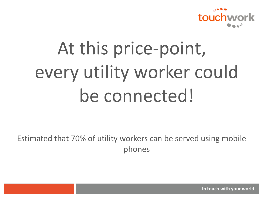

# At this price-point, every utility worker could be connected!

Estimated that 70% of utility workers can be served using mobile phones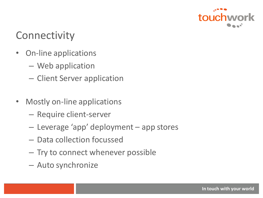

#### **Connectivity**

- On-line applications
	- Web application
	- Client Server application
- Mostly on-line applications
	- Require client-server
	- Leverage 'app' deployment app stores
	- Data collection focussed
	- Try to connect whenever possible
	- Auto synchronize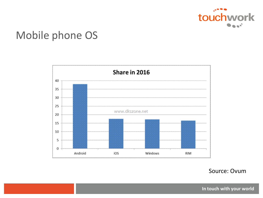

#### Mobile phone OS



Source: Ovum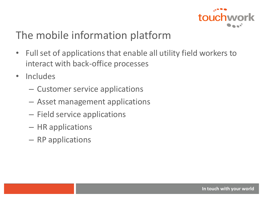

#### The mobile information platform

- Full set of applications that enable all utility field workers to interact with back-office processes
- Includes
	- Customer service applications
	- Asset management applications
	- Field service applications
	- HR applications
	- RP applications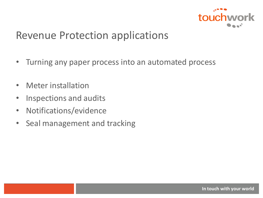

#### Revenue Protection applications

- Turning any paper process into an automated process
- Meter installation
- Inspections and audits
- Notifications/evidence
- Seal management and tracking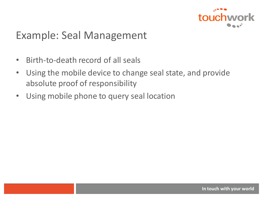

#### Example: Seal Management

- Birth-to-death record of all seals
- Using the mobile device to change seal state, and provide absolute proof of responsibility
- Using mobile phone to query seal location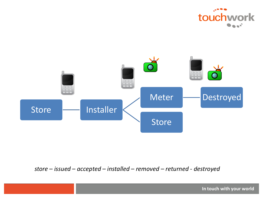



#### *store – issued – accepted – installed – removed – returned - destroyed*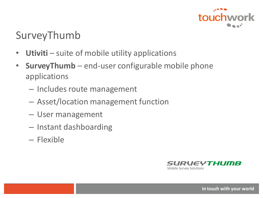

#### SurveyThumb

- **Utiviti** suite of mobile utility applications
- **SurveyThumb** end-user configurable mobile phone applications
	- Includes route management
	- Asset/location management function
	- User management
	- Instant dashboarding
	- Flexible

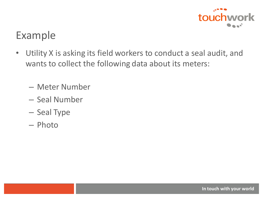

#### Example

- Utility X is asking its field workers to conduct a seal audit, and wants to collect the following data about its meters:
	- Meter Number
	- Seal Number
	- Seal Type
	- Photo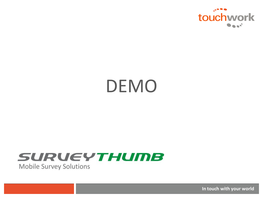

# DEMO

#### **SURUEYTHUMB Mobile Survey Solutions**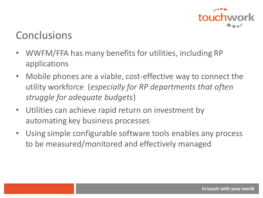

#### **Conclusions**

- WWFM/FFA has many benefits for utilities, including RP applications
- Mobile phones are a viable, cost-effective way to connect the utility workforce (*especially for RP departments that often struggle for adequate budgets*)
- Utilities can achieve rapid return on investment by automating key business processes
- Using simple configurable software tools enables any process to be measured/monitored and effectively managed